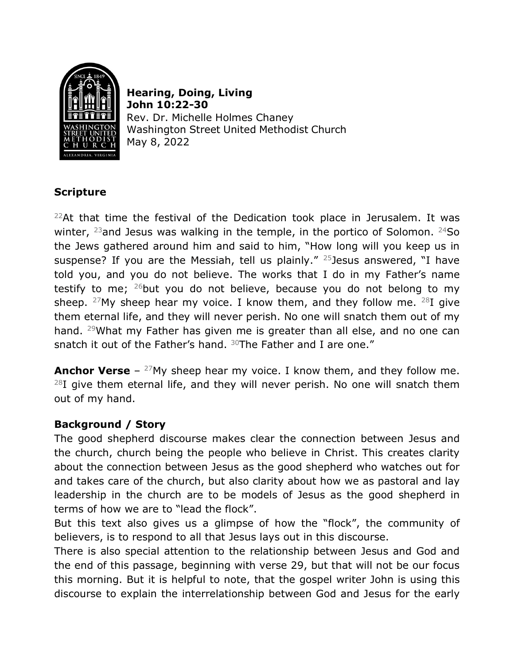

**Hearing, Doing, Living John 10:22-30** Rev. Dr. Michelle Holmes Chaney Washington Street United Methodist Church May 8, 2022

# **Scripture**

 $22$ At that time the festival of the Dedication took place in Jerusalem. It was winter,  $^{23}$  and Jesus was walking in the temple, in the portico of Solomon.  $^{24}$ So the Jews gathered around him and said to him, "How long will you keep us in suspense? If you are the Messiah, tell us plainly."  $25$  Jesus answered, "I have told you, and you do not believe. The works that I do in my Father's name testify to me;  $^{26}$ but you do not believe, because you do not belong to my sheep. <sup>27</sup>My sheep hear my voice. I know them, and they follow me.  $^{28}$ I give them eternal life, and they will never perish. No one will snatch them out of my hand. <sup>29</sup>What my Father has given me is greater than all else, and no one can snatch it out of the Father's hand. <sup>30</sup>The Father and I are one."

**Anchor Verse** – <sup>27</sup>My sheep hear my voice. I know them, and they follow me.  $^{28}$ I give them eternal life, and they will never perish. No one will snatch them out of my hand.

## **Background / Story**

The good shepherd discourse makes clear the connection between Jesus and the church, church being the people who believe in Christ. This creates clarity about the connection between Jesus as the good shepherd who watches out for and takes care of the church, but also clarity about how we as pastoral and lay leadership in the church are to be models of Jesus as the good shepherd in terms of how we are to "lead the flock".

But this text also gives us a glimpse of how the "flock", the community of believers, is to respond to all that Jesus lays out in this discourse.

There is also special attention to the relationship between Jesus and God and the end of this passage, beginning with verse 29, but that will not be our focus this morning. But it is helpful to note, that the gospel writer John is using this discourse to explain the interrelationship between God and Jesus for the early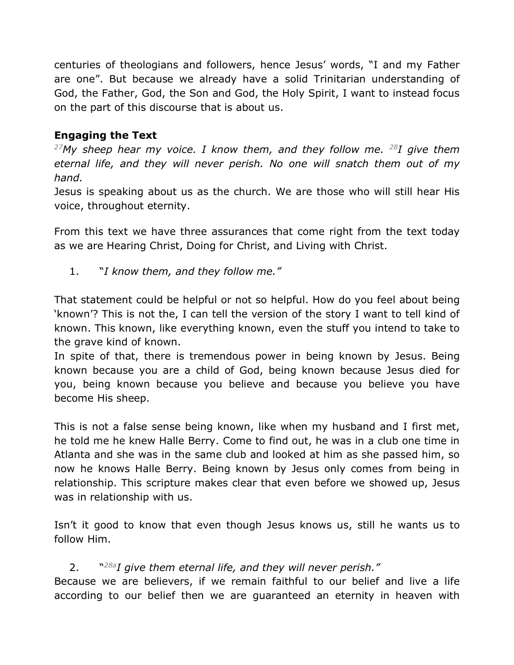centuries of theologians and followers, hence Jesus' words, "I and my Father are one". But because we already have a solid Trinitarian understanding of God, the Father, God, the Son and God, the Holy Spirit, I want to instead focus on the part of this discourse that is about us.

# **Engaging the Text**

*27My sheep hear my voice. I know them, and they follow me. 28I give them eternal life, and they will never perish. No one will snatch them out of my hand.*

Jesus is speaking about us as the church. We are those who will still hear His voice, throughout eternity.

From this text we have three assurances that come right from the text today as we are Hearing Christ, Doing for Christ, and Living with Christ.

1. "*I know them, and they follow me."*

That statement could be helpful or not so helpful. How do you feel about being 'known'? This is not the, I can tell the version of the story I want to tell kind of known. This known, like everything known, even the stuff you intend to take to the grave kind of known.

In spite of that, there is tremendous power in being known by Jesus. Being known because you are a child of God, being known because Jesus died for you, being known because you believe and because you believe you have become His sheep.

This is not a false sense being known, like when my husband and I first met, he told me he knew Halle Berry. Come to find out, he was in a club one time in Atlanta and she was in the same club and looked at him as she passed him, so now he knows Halle Berry. Being known by Jesus only comes from being in relationship. This scripture makes clear that even before we showed up, Jesus was in relationship with us.

Isn't it good to know that even though Jesus knows us, still he wants us to follow Him.

## 2. "*28aI give them eternal life, and they will never perish."*

Because we are believers, if we remain faithful to our belief and live a life according to our belief then we are guaranteed an eternity in heaven with